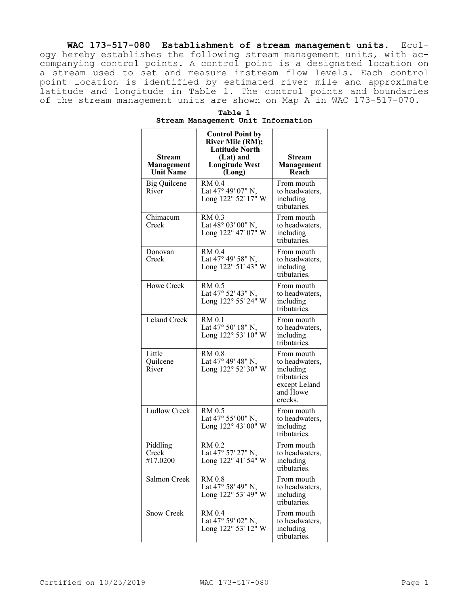**WAC 173-517-080 Establishment of stream management units.** Ecology hereby establishes the following stream management units, with accompanying control points. A control point is a designated location on a stream used to set and measure instream flow levels. Each control point location is identified by estimated river mile and approximate latitude and longitude in Table 1. The control points and boundaries of the stream management units are shown on Map A in WAC 173-517-070.

| Stream<br><b>Management</b><br><b>Unit Name</b> | <b>Control Point by</b><br><b>River Mile (RM);</b><br><b>Latitude North</b><br>(Lat) and<br><b>Longitude West</b><br>(Long) | Stream<br><b>Management</b><br>Reach                                                             |
|-------------------------------------------------|-----------------------------------------------------------------------------------------------------------------------------|--------------------------------------------------------------------------------------------------|
| <b>Big Quilcene</b><br>River                    | RM 0.4<br>Lat 47° 49' 07" N,<br>Long 122° 52' 17" W                                                                         | From mouth<br>to headwaters,<br>including<br>tributaries.                                        |
| Chimacum<br>Creek                               | RM 0.3<br>Lat 48° 03' 00" N,<br>Long 122° 47' 07" W                                                                         | From mouth<br>to headwaters,<br>including<br>tributaries.                                        |
| Donovan<br>Creek                                | <b>RM</b> 0.4<br>Lat 47° 49' 58" N,<br>Long 122° 51' 43" W                                                                  | From mouth<br>to headwaters,<br>including<br>tributaries.                                        |
| Howe Creek                                      | RM 0.5<br>Lat 47° 52' 43" N,<br>Long 122° 55' 24" W                                                                         | From mouth<br>to headwaters,<br>including<br>tributaries.                                        |
| Leland Creek                                    | <b>RM</b> 0.1<br>Lat 47° 50' 18" N,<br>Long 122° 53' 10" W                                                                  | From mouth<br>to headwaters,<br>including<br>tributaries.                                        |
| Little<br>Quilcene<br>River                     | RM 0.8<br>Lat 47° 49' 48" N,<br>Long 122° 52' 30" W                                                                         | From mouth<br>to headwaters,<br>including<br>tributaries<br>except Leland<br>and Howe<br>creeks. |
| <b>Ludlow Creek</b>                             | RM 0.5<br>Lat 47° 55' 00" N,<br>Long 122° 43' 00" W                                                                         | From mouth<br>to headwaters,<br>including<br>tributaries.                                        |
| Piddling<br>Creek<br>#17.0200                   | RM 0.2<br>Lat 47° 57' 27" N,<br>Long 122° 41' 54" W                                                                         | From mouth<br>to headwaters,<br>including<br>tributaries.                                        |
| Salmon Creek                                    | <b>RM 0.8</b><br>Lat 47° 58' 49" N,<br>Long 122° 53' 49" W                                                                  | From mouth<br>to headwaters,<br>including<br>tributaries.                                        |
| <b>Snow Creek</b>                               | <b>RM</b> 0.4<br>Lat 47° 59' 02" N,<br>Long 122° 53' 12" W                                                                  | From mouth<br>to headwaters,<br>including<br>tributaries.                                        |

| Table 1 |  |  |                                    |  |
|---------|--|--|------------------------------------|--|
|         |  |  | Stream Management Unit Information |  |